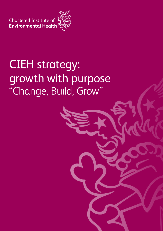Chartered Institute of Sandwich



## CIEH strategy: growth with purpose "Change, Build, Grow"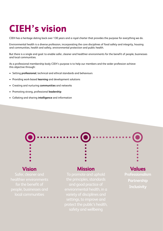### **CIEH's vision**

CIEH has a heritage dating back over 130 years and a royal charter that provides the purpose for everything we do.

Environmental health is a diverse profession, incorporating the core disciplines of food safety and integrity, housing and communities, health and safety, environmental protection and public health.

But there is a single end goal: to enable safer, cleaner and healthier environments for the benefit of people, businesses and local communities.

As a professional membership body CIEH's purpose is to help our members and the wider profession achieve this objective through:

- Setting **professional**, technical and ethical standards and behaviours
- Providing work-based **learning** and development solutions
- Creating and nurturing **communities** and networks
- Promoting strong, professional **leadership**
- Collating and sharing **intelligence** and information

#### **Vision**

Safer, cleaner and healthier environments people, businesses and

#### **Mission**

To promote and uphold the principles, standards environmental health, in a variety of disciplines and settings, to improve and protect the public's health, safety and wellbeing

#### **Values**

**Professionalism Partnership Inclusivity**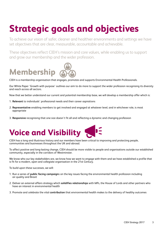### **Strategic goals and objectives**

To achieve our vision of safer, cleaner and healthier environments and settings we have set objectives that are clear, measurable, accountable and achievable.

These objectives reflect CIEH's mission and core values, while enabling us to support and grow our membership and the wider profession.

# **Membership**

CIEH is a membership organisation that engages, promotes and supports Environmental Health Professionals.

Our White Paper 'Growth with purpose' outlines our aim to do more to support the wider profession recognising its diversity and reach across all sectors.

Now that we better understand our current and potential membership base, we will develop a membership offer which is:

- 1. **Relevant** to individuals' professional needs and their career aspirations
- 2. **Representative** enabling members to get involved and engaged at whatever level, and in whichever role, is most appropriate
- 3. **Responsive** recognising that one size doesn't fit all and reflecting a dynamic and changing profession



CIEH has a long and illustrious history and our members have been critical to improving and protecting people, communities and businesses throughout the UK and abroad.

To affect positive and long-lasting change, CIEH should be more visible to people and organisations outside our established community, especially in the corridors of Westminster.

We know who our key stakeholders are, we know how we want to engage with them and we have established a profile that is fit for a modern, open and collegiate organisation in the 21st Century.

To build upon these successes, we will:

- 1. Run a series of **public facing campaign**s on the key issues facing the environmental health profession including air quality and Brexit
- 2. Deliver an external affairs strategy which **solidifies relationships** with MPs, the House of Lords and other partners who have an interest in environmental health
- 3. Promote and celebrate the vital **contribution** that environmental health makes to the delivery of healthy outcomes